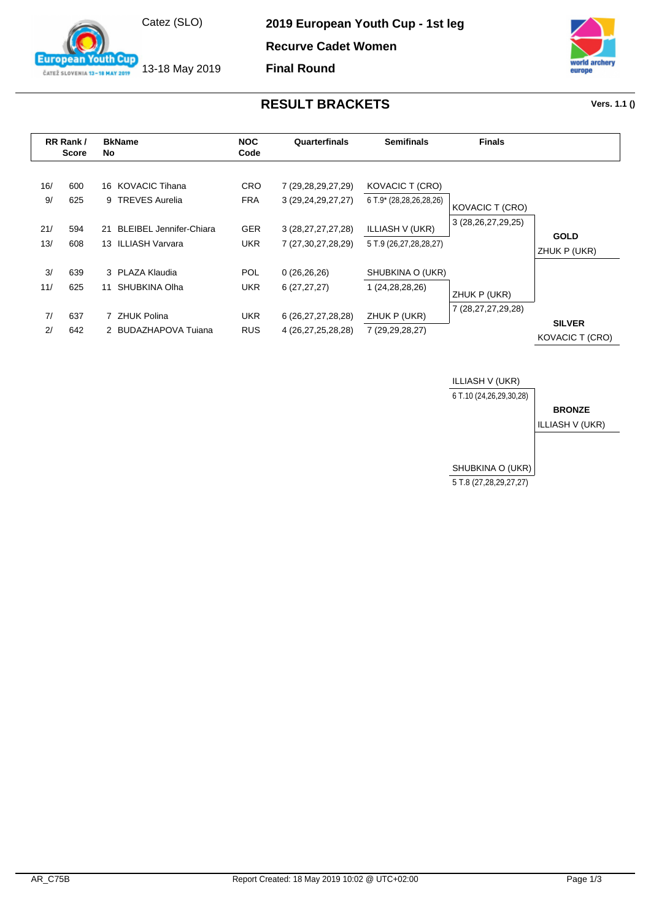

13-18 May 2019

outh Cup

**European** 

ČATEŽ SLOVENIA 13-18 MAY 2019

**2019 European Youth Cup - 1st leg**

**Recurve Cadet Women**

**Final Round**



## **RESULT BRACKETS Vers. 1.1 ()**

| RR Rank /<br><b>Score</b> |            | <b>BkName</b><br>No                                        | <b>NOC</b><br>Code       | Quarterfinals                                    | <b>Semifinals</b>                                | <b>Finals</b>          |                                  |
|---------------------------|------------|------------------------------------------------------------|--------------------------|--------------------------------------------------|--------------------------------------------------|------------------------|----------------------------------|
| 16/<br>9/                 | 600<br>625 | 16 KOVACIC Tihana<br>9 TREVES Aurelia                      | <b>CRO</b><br><b>FRA</b> | 7 (29, 28, 29, 27, 29)<br>3 (29, 24, 29, 27, 27) | KOVACIC T (CRO)<br>6 T.9* (28,28,26,28,26)       | <b>KOVACIC T (CRO)</b> |                                  |
| 21/<br>13/                | 594<br>608 | <b>BLEIBEL Jennifer-Chiara</b><br>21<br>13 ILLIASH Varvara | <b>GER</b><br>UKR.       | 3 (28, 27, 27, 27, 28)<br>7 (27,30,27,28,29)     | <b>ILLIASH V (UKR)</b><br>5 T.9 (26,27,28,28,27) | 3 (28,26,27,29,25)     | <b>GOLD</b><br>ZHUK P (UKR)      |
| 3/<br>11/                 | 639<br>625 | 3 PLAZA Klaudia<br>SHUBKINA Olha<br>11                     | <b>POL</b><br>UKR.       | 0(26, 26, 26)<br>6(27, 27, 27)                   | SHUBKINA O (UKR)<br>1 (24, 28, 28, 26)           | ZHUK P (UKR)           |                                  |
| 7/<br>2 <sup>1</sup>      | 637<br>642 | 7 ZHUK Polina<br>2 BUDAZHAPOVA Tujana                      | UKR.<br><b>RUS</b>       | 6 (26, 27, 27, 28, 28)<br>4 (26,27,25,28,28)     | ZHUK P (UKR)<br>7 (29,29,28,27)                  | 7 (28, 27, 27, 29, 28) | <b>SILVER</b><br>KOVACIC T (CRO) |

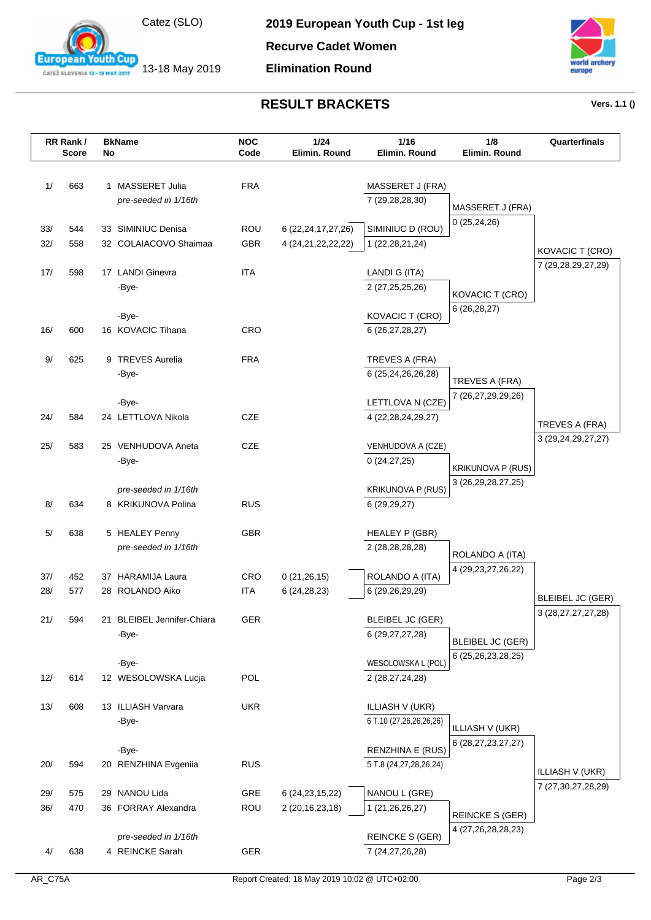

13-18 May 2019

**European Youth Cup** ČATEŽ SLOVENIA 13-18 MAY 2019

**2019 European Youth Cup - 1st leg**

**Recurve Cadet Women**

**Elimination Round**



## **RESULT BRACKETS Vers. 1.1 ()**

|            | RR Rank/<br>Score | No | <b>BkName</b>                               | <b>NOC</b><br>Code       | 1/24<br>Elimin. Round                            | 1/16<br>Elimin. Round                        | 1/8<br>Elimin. Round                          | Quarterfinals                                     |
|------------|-------------------|----|---------------------------------------------|--------------------------|--------------------------------------------------|----------------------------------------------|-----------------------------------------------|---------------------------------------------------|
| 1/         | 663               |    | 1 MASSERET Julia<br>pre-seeded in 1/16th    | <b>FRA</b>               |                                                  | MASSERET J (FRA)<br>7 (29,28,28,30)          | MASSERET J (FRA)                              |                                                   |
| 33/<br>32/ | 544<br>558        |    | 33 SIMINIUC Denisa<br>32 COLAIACOVO Shaimaa | <b>ROU</b><br><b>GBR</b> | 6 (22, 24, 17, 27, 26)<br>4 (24, 21, 22, 22, 22) | SIMINIUC D (ROU)<br>1 (22, 28, 21, 24)       | 0(25,24,26)                                   |                                                   |
| 17/        | 598               |    | 17 LANDI Ginevra                            | <b>ITA</b>               |                                                  | LANDI G (ITA)                                |                                               | KOVACIC T (CRO)<br>7 (29,28,29,27,29)             |
|            |                   |    | -Bye-<br>-Bye-                              |                          |                                                  | 2 (27, 25, 25, 26)<br><b>KOVACIC T (CRO)</b> | KOVACIC T (CRO)<br>6(26, 28, 27)              |                                                   |
| 16/        | 600               |    | 16 KOVACIC Tihana                           | CRO                      |                                                  | 6 (26,27,28,27)                              |                                               |                                                   |
| $9/$       | 625               |    | 9 TREVES Aurelia<br>-Bye-                   | <b>FRA</b>               |                                                  | TREVES A (FRA)<br>6 (25,24,26,26,28)         | TREVES A (FRA)                                |                                                   |
| 24/        | 584               |    | -Bye-<br>24 LETTLOVA Nikola                 | <b>CZE</b>               |                                                  | LETTLOVA N (CZE)<br>4 (22, 28, 24, 29, 27)   | 7 (26,27,29,29,26)                            | TREVES A (FRA)                                    |
| 25/        | 583               |    | 25 VENHUDOVA Aneta<br>-Bye-                 | <b>CZE</b>               |                                                  | VENHUDOVA A (CZE)<br>0(24, 27, 25)           | <b>KRIKUNOVA P (RUS)</b>                      | 3 (29, 24, 29, 27, 27)                            |
| 8/         | 634               |    | pre-seeded in 1/16th<br>8 KRIKUNOVA Polina  | <b>RUS</b>               |                                                  | <b>KRIKUNOVA P (RUS)</b><br>6 (29,29,27)     | 3 (26, 29, 28, 27, 25)                        |                                                   |
| 5/         | 638               |    | 5 HEALEY Penny<br>pre-seeded in 1/16th      | <b>GBR</b>               |                                                  | <b>HEALEY P (GBR)</b><br>2 (28,28,28,28)     | ROLANDO A (ITA)                               |                                                   |
| 37/<br>28/ | 452<br>577        |    | 37 HARAMIJA Laura<br>28 ROLANDO Aiko        | <b>CRO</b><br><b>ITA</b> | 0(21, 26, 15)<br>6(24, 28, 23)                   | ROLANDO A (ITA)<br>6 (29,26,29,29)           | 4 (29,23,27,26,22)                            |                                                   |
| 21/        | 594               |    | 21 BLEIBEL Jennifer-Chiara                  | GER                      |                                                  | <b>BLEIBEL JC (GER)</b>                      |                                               | <b>BLEIBEL JC (GER)</b><br>3 (28, 27, 27, 27, 28) |
|            |                   |    | -Bye-<br>-Bye-                              |                          |                                                  | 6 (29, 27, 27, 28)<br>WESOLOWSKA L (POL)     | <b>BLEIBEL JC (GER)</b><br>6 (25,26,23,28,25) |                                                   |
| 12/        | 614               |    | 12 WESOLOWSKA Lucja                         | POL                      |                                                  | 2 (28,27,24,28)                              |                                               |                                                   |
| 13/        | 608               |    | 13 ILLIASH Varvara<br>-Bye-                 | <b>UKR</b>               |                                                  | ILLIASH V (UKR)<br>6 T.10 (27,26,26,26,26)   | ILLIASH V (UKR)<br>6 (28,27,23,27,27)         |                                                   |
| 20/        | 594               |    | -Bye-<br>20 RENZHINA Evgeniia               | <b>RUS</b>               |                                                  | RENZHINA E (RUS)<br>5 T.8 (24,27,28,26,24)   |                                               | ILLIASH V (UKR)                                   |
| 29/<br>36/ | 575<br>470        |    | 29 NANOU Lida<br>36 FORRAY Alexandra        | GRE<br>ROU               | 6 (24, 23, 15, 22)<br>2 (20, 16, 23, 18)         | NANOU L (GRE)<br>1 (21,26,26,27)             | <b>REINCKE S (GER)</b>                        | 7 (27,30,27,28,29)                                |
| 4/         | 638               |    | pre-seeded in 1/16th<br>4 REINCKE Sarah     | GER                      |                                                  | <b>REINCKE S (GER)</b><br>7 (24, 27, 26, 28) | 4 (27, 26, 28, 28, 23)                        |                                                   |